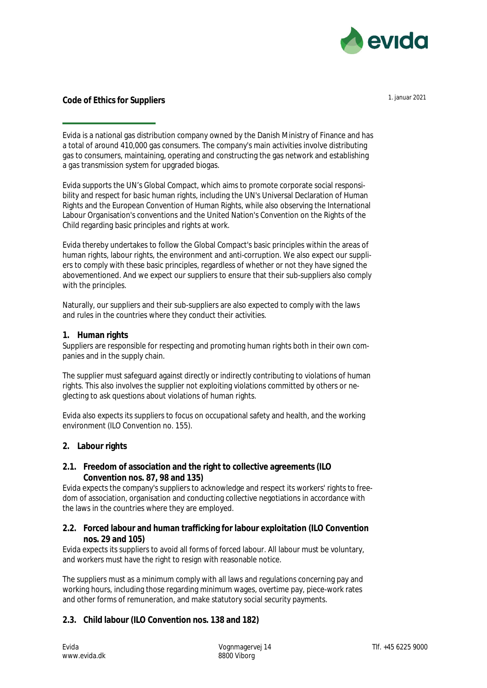

# **Code of Ethics for Suppliers** 1. januar 2021

Evida is a national gas distribution company owned by the Danish Ministry of Finance and has a total of around 410,000 gas consumers. The company's main activities involve distributing gas to consumers, maintaining, operating and constructing the gas network and establishing a gas transmission system for upgraded biogas.

Evida supports the UN's Global Compact, which aims to promote corporate social responsibility and respect for basic human rights, including the UN's Universal Declaration of Human Rights and the European Convention of Human Rights, while also observing the International Labour Organisation's conventions and the United Nation's Convention on the Rights of the Child regarding basic principles and rights at work.

Evida thereby undertakes to follow the Global Compact's basic principles within the areas of human rights, labour rights, the environment and anti-corruption. We also expect our suppliers to comply with these basic principles, regardless of whether or not they have signed the abovementioned. And we expect our suppliers to ensure that their sub-suppliers also comply with the principles.

Naturally, our suppliers and their sub-suppliers are also expected to comply with the laws and rules in the countries where they conduct their activities.

# **1. Human rights**

Suppliers are responsible for respecting and promoting human rights both in their own companies and in the supply chain.

The supplier must safeguard against directly or indirectly contributing to violations of human rights. This also involves the supplier not exploiting violations committed by others or neglecting to ask questions about violations of human rights.

Evida also expects its suppliers to focus on occupational safety and health, and the working environment (ILO Convention no. 155).

# **2. Labour rights**

# **2.1. Freedom of association and the right to collective agreements (ILO Convention nos. 87, 98 and 135)**

Evida expects the company's suppliers to acknowledge and respect its workers' rights to freedom of association, organisation and conducting collective negotiations in accordance with the laws in the countries where they are employed.

# **2.2. Forced labour and human trafficking for labour exploitation (ILO Convention nos. 29 and 105)**

Evida expects its suppliers to avoid all forms of forced labour. All labour must be voluntary, and workers must have the right to resign with reasonable notice.

The suppliers must as a minimum comply with all laws and regulations concerning pay and working hours, including those regarding minimum wages, overtime pay, piece-work rates and other forms of remuneration, and make statutory social security payments.

# **2.3. Child labour (ILO Convention nos. 138 and 182)**